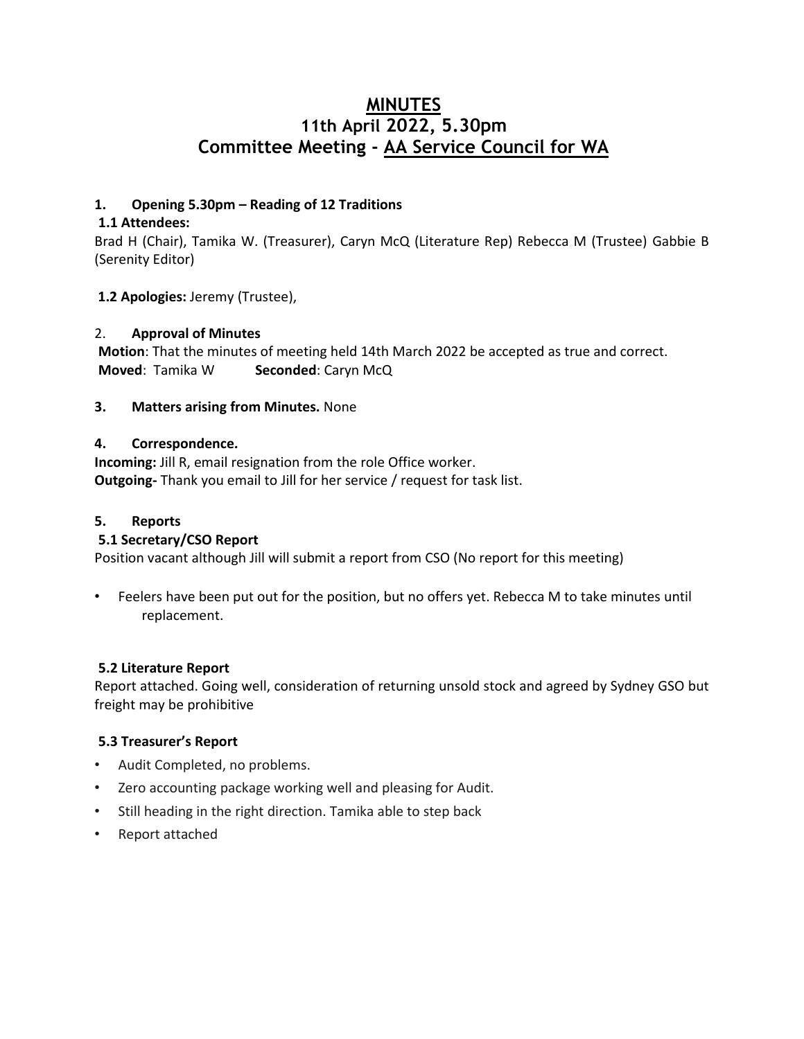# **MINUTES 11th April 2022, 5.30pm Committee Meeting - AA Service Council for WA**

## **1. Opening 5.30pm – Reading of 12 Traditions**

### **1.1 Attendees:**

Brad H (Chair), Tamika W. (Treasurer), Caryn McQ (Literature Rep) Rebecca M (Trustee) Gabbie B (Serenity Editor)

### **1.2 Apologies:** Jeremy (Trustee),

### 2. **Approval of Minutes**

**Motion**: That the minutes of meeting held 14th March 2022 be accepted as true and correct. **Moved:** Tamika W **Seconded:** Caryn McQ

### **3. Matters arising from Minutes.** None

### **4. Correspondence.**

**Incoming:** Jill R, email resignation from the role Office worker. **Outgoing-** Thank you email to Jill for her service / request for task list.

# **5. Reports**

# **5.1 Secretary/CSO Report**

Position vacant although Jill will submit a report from CSO (No report for this meeting)

• Feelers have been put out for the position, but no offers yet. Rebecca M to take minutes until replacement.

### **5.2 Literature Report**

Report attached. Going well, consideration of returning unsold stock and agreed by Sydney GSO but freight may be prohibitive

### **5.3 Treasurer's Report**

- Audit Completed, no problems.
- Zero accounting package working well and pleasing for Audit.
- Still heading in the right direction. Tamika able to step back
- Report attached